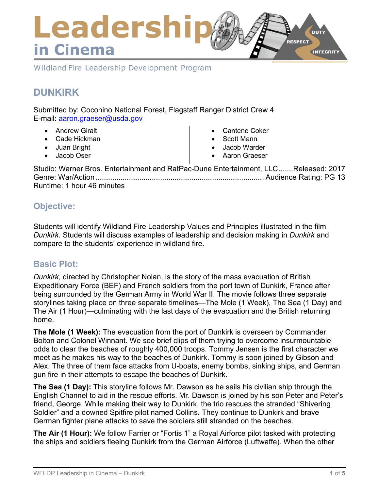

Wildland Fire Leadership Development Program

# **DUNKIRK**

Submitted by: Coconino National Forest, Flagstaff Ranger District Crew 4 E-mail: [aaron.graeser@usda.gov](mailto:aaron.graeser@usda.gov)

- Andrew Giralt
- Cade Hickman
- Juan Bright
- Jacob Oser
- Cantene Coker
- Scott Mann
- Jacob Warder
- Aaron Graeser

Studio: Warner Bros. Entertainment and RatPac-Dune Entertainment, LLC.......Released: 2017 Genre: War/Action ................................................................................. Audience Rating: PG 13 Runtime: 1 hour 46 minutes

## **Objective:**

Students will identify Wildland Fire Leadership Values and Principles illustrated in the film *Dunkirk*. Students will discuss examples of leadership and decision making in *Dunkirk* and compare to the students' experience in wildland fire.

## **Basic Plot:**

*Dunkirk*, directed by Christopher Nolan, is the story of the mass evacuation of British Expeditionary Force (BEF) and French soldiers from the port town of Dunkirk, France after being surrounded by the German Army in World War II. The movie follows three separate storylines taking place on three separate timelines—The Mole (1 Week), The Sea (1 Day) and The Air (1 Hour)—culminating with the last days of the evacuation and the British returning home.

**The Mole (1 Week):** The evacuation from the port of Dunkirk is overseen by Commander Bolton and Colonel Winnant. We see brief clips of them trying to overcome insurmountable odds to clear the beaches of roughly 400,000 troops. Tommy Jensen is the first character we meet as he makes his way to the beaches of Dunkirk. Tommy is soon joined by Gibson and Alex. The three of them face attacks from U-boats, enemy bombs, sinking ships, and German gun fire in their attempts to escape the beaches of Dunkirk.

**The Sea (1 Day):** This storyline follows Mr. Dawson as he sails his civilian ship through the English Channel to aid in the rescue efforts. Mr. Dawson is joined by his son Peter and Peter's friend, George. While making their way to Dunkirk, the trio rescues the stranded "Shivering Soldier" and a downed Spitfire pilot named Collins. They continue to Dunkirk and brave German fighter plane attacks to save the soldiers still stranded on the beaches.

**The Air (1 Hour):** We follow Farrier or "Fortis 1" a Royal Airforce pilot tasked with protecting the ships and soldiers fleeing Dunkirk from the German Airforce (Luftwaffe). When the other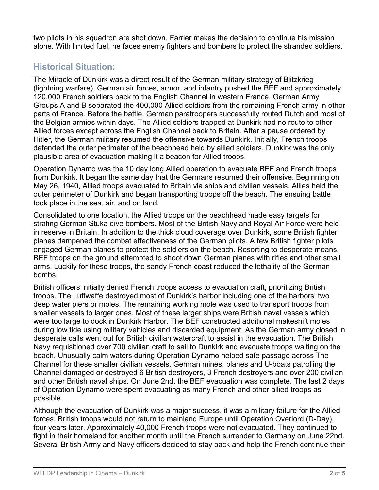two pilots in his squadron are shot down, Farrier makes the decision to continue his mission alone. With limited fuel, he faces enemy fighters and bombers to protect the stranded soldiers.

# **Historical Situation:**

The Miracle of Dunkirk was a direct result of the German military strategy of Blitzkrieg (lightning warfare). German air forces, armor, and infantry pushed the BEF and approximately 120,000 French soldiers back to the English Channel in western France. German Army Groups A and B separated the 400,000 Allied soldiers from the remaining French army in other parts of France. Before the battle, German paratroopers successfully routed Dutch and most of the Belgian armies within days. The Allied soldiers trapped at Dunkirk had no route to other Allied forces except across the English Channel back to Britain. After a pause ordered by Hitler, the German military resumed the offensive towards Dunkirk. Initially, French troops defended the outer perimeter of the beachhead held by allied soldiers. Dunkirk was the only plausible area of evacuation making it a beacon for Allied troops.

Operation Dynamo was the 10 day long Allied operation to evacuate BEF and French troops from Dunkirk. It began the same day that the Germans resumed their offensive. Beginning on May 26, 1940, Allied troops evacuated to Britain via ships and civilian vessels. Allies held the outer perimeter of Dunkirk and began transporting troops off the beach. The ensuing battle took place in the sea, air, and on land.

Consolidated to one location, the Allied troops on the beachhead made easy targets for strafing German Stuka dive bombers. Most of the British Navy and Royal Air Force were held in reserve in Britain. In addition to the thick cloud coverage over Dunkirk, some British fighter planes dampened the combat effectiveness of the German pilots. A few British fighter pilots engaged German planes to protect the soldiers on the beach. Resorting to desperate means, BEF troops on the ground attempted to shoot down German planes with rifles and other small arms. Luckily for these troops, the sandy French coast reduced the lethality of the German bombs.

British officers initially denied French troops access to evacuation craft, prioritizing British troops. The Luftwaffe destroyed most of Dunkirk's harbor including one of the harbors' two deep water piers or moles. The remaining working mole was used to transport troops from smaller vessels to larger ones. Most of these larger ships were British naval vessels which were too large to dock in Dunkirk Harbor. The BEF constructed additional makeshift moles during low tide using military vehicles and discarded equipment. As the German army closed in desperate calls went out for British civilian watercraft to assist in the evacuation. The British Navy requisitioned over 700 civilian craft to sail to Dunkirk and evacuate troops waiting on the beach. Unusually calm waters during Operation Dynamo helped safe passage across The Channel for these smaller civilian vessels. German mines, planes and U-boats patrolling the Channel damaged or destroyed 6 British destroyers, 3 French destroyers and over 200 civilian and other British naval ships. On June 2nd, the BEF evacuation was complete. The last 2 days of Operation Dynamo were spent evacuating as many French and other allied troops as possible.

Although the evacuation of Dunkirk was a major success, it was a military failure for the Allied forces. British troops would not return to mainland Europe until Operation Overlord (D-Day), four years later. Approximately 40,000 French troops were not evacuated. They continued to fight in their homeland for another month until the French surrender to Germany on June 22nd. Several British Army and Navy officers decided to stay back and help the French continue their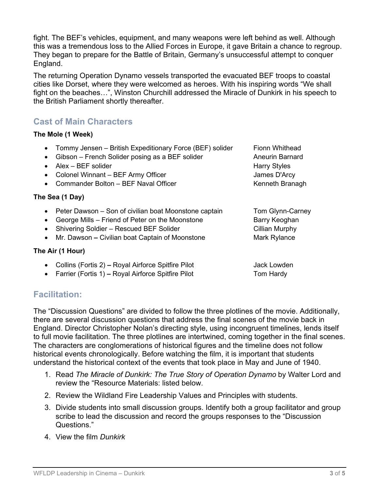fight. The BEF's vehicles, equipment, and many weapons were left behind as well. Although this was a tremendous loss to the Allied Forces in Europe, it gave Britain a chance to regroup. They began to prepare for the Battle of Britain, Germany's unsuccessful attempt to conquer England.

The returning Operation Dynamo vessels transported the evacuated BEF troops to coastal cities like Dorset, where they were welcomed as heroes. With his inspiring words "We shall fight on the beaches…", Winston Churchill addressed the Miracle of Dunkirk in his speech to the British Parliament shortly thereafter.

## **Cast of Main Characters**

#### **The Mole (1 Week)**

| Tommy Jensen – British Expeditionary Force (BEF) solider<br>$\bullet$<br>Gibson – French Solider posing as a BEF solider<br>$\bullet$<br>$Alex - BEF$ solider<br>$\bullet$<br>Colonel Winnant - BEF Army Officer<br>$\bullet$                              | <b>Fionn Whithead</b><br><b>Aneurin Barnard</b><br><b>Harry Styles</b><br>James D'Arcy |
|------------------------------------------------------------------------------------------------------------------------------------------------------------------------------------------------------------------------------------------------------------|----------------------------------------------------------------------------------------|
| Commander Bolton - BEF Naval Officer<br>$\bullet$                                                                                                                                                                                                          | Kenneth Branagh                                                                        |
| The Sea (1 Day)                                                                                                                                                                                                                                            |                                                                                        |
| Peter Dawson – Son of civilian boat Moonstone captain<br>$\bullet$<br>George Mills – Friend of Peter on the Moonstone<br>$\bullet$<br>Shivering Soldier - Rescued BEF Solider<br>$\bullet$<br>Mr. Dawson – Civilian boat Captain of Moonstone<br>$\bullet$ | Tom Glynn-Carney<br>Barry Keoghan<br>Cillian Murphy<br>Mark Rylance                    |
| The Air (1 Hour)                                                                                                                                                                                                                                           |                                                                                        |
| Collins (Fortis 2) – Royal Airforce Spitfire Pilot<br>$\bullet$<br>Farrier (Fortis 1) - Royal Airforce Spitfire Pilot<br>$\bullet$                                                                                                                         | Jack Lowden<br>Tom Hardy                                                               |

## **Facilitation:**

The "Discussion Questions" are divided to follow the three plotlines of the movie. Additionally, there are several discussion questions that address the final scenes of the movie back in England. Director Christopher Nolan's directing style, using incongruent timelines, lends itself to full movie facilitation. The three plotlines are intertwined, coming together in the final scenes. The characters are conglomerations of historical figures and the timeline does not follow historical events chronologically. Before watching the film, it is important that students understand the historical context of the events that took place in May and June of 1940.

- 1. Read *The Miracle of Dunkirk: The True Story of Operation Dynamo* by Walter Lord and review the "Resource Materials: listed below.
- 2. Review the Wildland Fire Leadership Values and Principles with students.
- 3. Divide students into small discussion groups. Identify both a group facilitator and group scribe to lead the discussion and record the groups responses to the "Discussion Questions."
- 4. View the film *Dunkirk*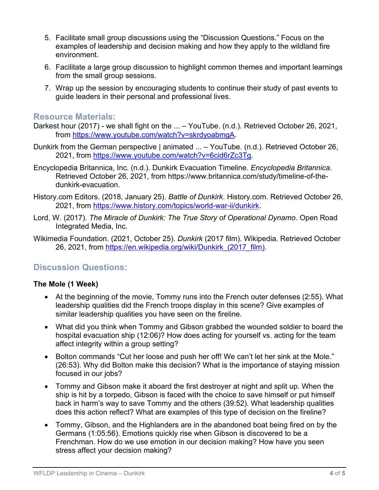- 5. Facilitate small group discussions using the "Discussion Questions." Focus on the examples of leadership and decision making and how they apply to the wildland fire environment.
- 6. Facilitate a large group discussion to highlight common themes and important learnings from the small group sessions.
- 7. Wrap up the session by encouraging students to continue their study of past events to guide leaders in their personal and professional lives.

### **Resource Materials:**

- Darkest hour (2017) we shall fight on the ... YouTube. (n.d.). Retrieved October 26, 2021, from [https://www.youtube.com/watch?v=skrdyoabmgA.](https://www.youtube.com/watch?v=skrdyoabmgA)
- Dunkirk from the German perspective | animated ... YouTube. (n.d.). Retrieved October 26, 2021, from [https://www.youtube.com/watch?v=6cid6rZc3Tg.](https://www.youtube.com/watch?v=6cid6rZc3Tg)
- Encyclopedia Britannica, Inc. (n.d.). Dunkirk Evacuation Timeline. *Encyclopedia Britannica*. Retrieved October 26, 2021, from https://www.britannica.com/study/timeline-of-thedunkirk-evacuation.
- History.com Editors. (2018, January 25). *Battle of Dunkirk*. History.com. Retrieved October 26, 2021, from [https://www.history.com/topics/world-war-ii/dunkirk.](https://www.history.com/topics/world-war-ii/dunkirk)
- Lord, W. (2017). *The Miracle of Dunkirk: The True Story of Operational Dynamo*. Open Road Integrated Media, Inc.
- Wikimedia Foundation. (2021, October 25). *Dunkirk* (2017 film). Wikipedia. Retrieved October 26, 2021, from [https://en.wikipedia.org/wiki/Dunkirk\\_\(2017\\_film\).](https://en.wikipedia.org/wiki/Dunkirk_(2017_film))

## **Discussion Questions:**

#### **The Mole (1 Week)**

- At the beginning of the movie, Tommy runs into the French outer defenses (2:55). What leadership qualities did the French troops display in this scene? Give examples of similar leadership qualities you have seen on the fireline.
- What did you think when Tommy and Gibson grabbed the wounded soldier to board the hospital evacuation ship (12:06)? How does acting for yourself vs. acting for the team affect integrity within a group setting?
- Bolton commands "Cut her loose and push her off! We can't let her sink at the Mole." (26:53). Why did Bolton make this decision? What is the importance of staying mission focused in our jobs?
- Tommy and Gibson make it aboard the first destroyer at night and split up. When the ship is hit by a torpedo, Gibson is faced with the choice to save himself or put himself back in harm's way to save Tommy and the others (39:52). What leadership qualities does this action reflect? What are examples of this type of decision on the fireline?
- Tommy, Gibson, and the Highlanders are in the abandoned boat being fired on by the Germans (1:05:56). Emotions quickly rise when Gibson is discovered to be a Frenchman. How do we use emotion in our decision making? How have you seen stress affect your decision making?